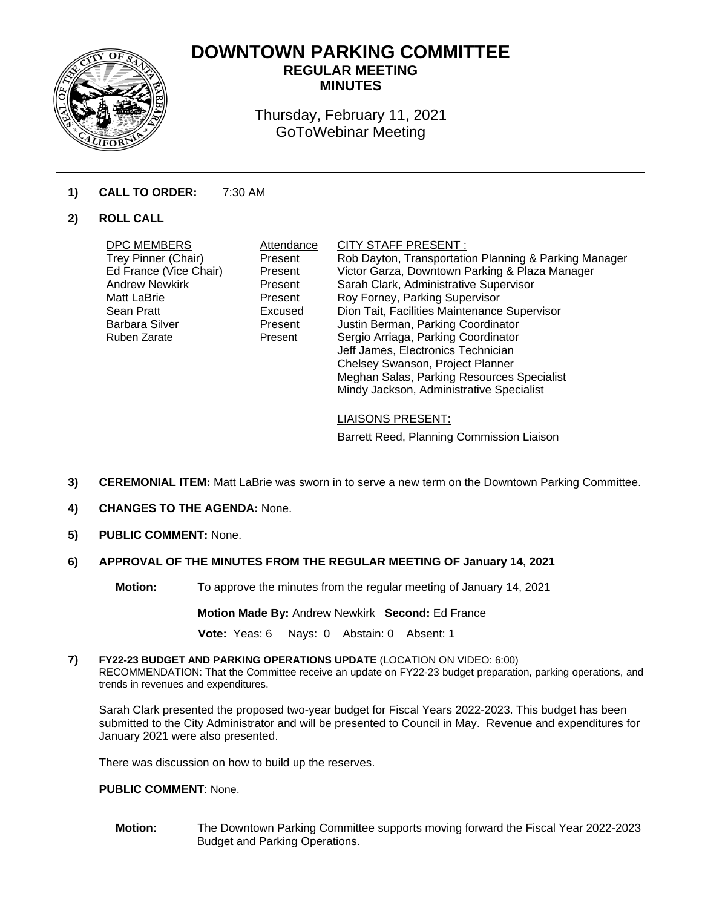

# **DOWNTOWN PARKING COMMITTEE REGULAR MEETING**

**MINUTES** 

Thursday, February 11, 2021 GoToWebinar Meeting

# **1) CALL TO ORDER:** 7:30 AM

# **2) ROLL CALL**

| DPC MEMBERS<br>Trey Pinner (Chair)<br>Ed France (Vice Chair)<br><b>Andrew Newkirk</b><br><b>Matt LaBrie</b><br>Sean Pratt<br>Barbara Silver<br>Ruben Zarate | Attendance<br>Present<br>Present<br>Present<br>Present<br>Excused<br>Present<br>Present | CITY STAFF PRESENT :<br>Rob Dayton, Transportation Planning & Parking Manager<br>Victor Garza, Downtown Parking & Plaza Manager<br>Sarah Clark, Administrative Supervisor<br>Roy Forney, Parking Supervisor<br>Dion Tait, Facilities Maintenance Supervisor<br>Justin Berman, Parking Coordinator<br>Sergio Arriaga, Parking Coordinator<br>Jeff James, Electronics Technician<br>Chelsey Swanson, Project Planner |
|-------------------------------------------------------------------------------------------------------------------------------------------------------------|-----------------------------------------------------------------------------------------|--------------------------------------------------------------------------------------------------------------------------------------------------------------------------------------------------------------------------------------------------------------------------------------------------------------------------------------------------------------------------------------------------------------------|
|                                                                                                                                                             |                                                                                         | Meghan Salas, Parking Resources Specialist<br>Mindy Jackson, Administrative Specialist                                                                                                                                                                                                                                                                                                                             |
|                                                                                                                                                             |                                                                                         |                                                                                                                                                                                                                                                                                                                                                                                                                    |

LIAISONS PRESENT:

Barrett Reed, Planning Commission Liaison

- **3) CEREMONIAL ITEM:** Matt LaBrie was sworn in to serve a new term on the Downtown Parking Committee.
- **4) CHANGES TO THE AGENDA:** None.
- **5) PUBLIC COMMENT:** None.

# **6) APPROVAL OF THE MINUTES FROM THE REGULAR MEETING OF January 14, 2021**

**Motion:** To approve the minutes from the regular meeting of January 14, 2021

**Motion Made By:** Andrew Newkirk **Second:** Ed France

**Vote:** Yeas: 6 Nays: 0 Abstain: 0 Absent: 1

**7) FY22-23 BUDGET AND PARKING OPERATIONS UPDATE** (LOCATION ON VIDEO: 6:00) RECOMMENDATION: That the Committee receive an update on FY22-23 budget preparation, parking operations, and trends in revenues and expenditures.

Sarah Clark presented the proposed two-year budget for Fiscal Years 2022-2023. This budget has been submitted to the City Administrator and will be presented to Council in May. Revenue and expenditures for January 2021 were also presented.

There was discussion on how to build up the reserves.

**PUBLIC COMMENT**: None.

**Motion:** The Downtown Parking Committee supports moving forward the Fiscal Year 2022-2023 Budget and Parking Operations.